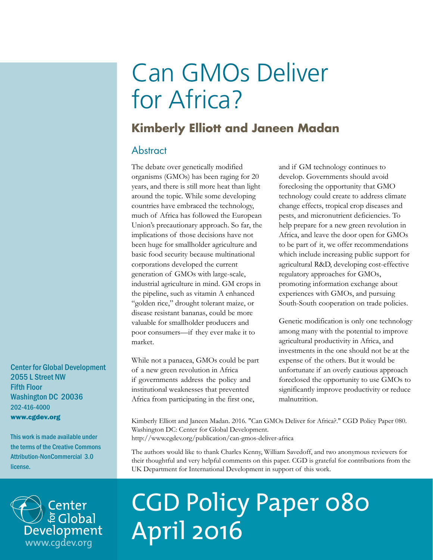# Can GMOs Deliver for Africa?

## **Kimberly Elliott and Janeen Madan**

## **Abstract**

The debate over genetically modified organisms (GMOs) has been raging for 20 years, and there is still more heat than light around the topic. While some developing countries have embraced the technology, much of Africa has followed the European Union's precautionary approach. So far, the implications of those decisions have not been huge for smallholder agriculture and basic food security because multinational corporations developed the current generation of GMOs with large-scale, industrial agriculture in mind. GM crops in the pipeline, such as vitamin A enhanced "golden rice," drought tolerant maize, or disease resistant bananas, could be more valuable for smallholder producers and poor consumers—if they ever make it to market.

While not a panacea, GMOs could be part of a new green revolution in Africa if governments address the policy and institutional weaknesses that prevented Africa from participating in the first one,

and if GM technology continues to develop. Governments should avoid foreclosing the opportunity that GMO technology could create to address climate change effects, tropical crop diseases and pests, and micronutrient deficiencies. To help prepare for a new green revolution in Africa, and leave the door open for GMOs to be part of it, we offer recommendations which include increasing public support for agricultural R&D, developing cost-effective regulatory approaches for GMOs, promoting information exchange about experiences with GMOs, and pursuing South-South cooperation on trade policies.

Genetic modification is only one technology among many with the potential to improve agricultural productivity in Africa, and investments in the one should not be at the expense of the others. But it would be unfortunate if an overly cautious approach foreclosed the opportunity to use GMOs to significantly improve productivity or reduce malnutrition.

Kimberly Elliott and Janeen Madan. 2016. "Can GMOs Deliver for Africa?." CGD Policy Paper 080. Washington DC: Center for Global Development. http://www.cgdev.org/publication/can-gmos-deliver-africa

The authors would like to thank Charles Kenny, William Savedoff, and two anonymous reviewers for their thoughtful and very helpful comments on this paper. CGD is grateful for contributions from the UK Department for International Development in support of this work.

# CGD Policy Paper 080 April 2016

Center for Global Development 2055 L Street NW Fifth Floor Washington DC 20036 202-416-4000 www.cgdev.org

This work is made available under the terms of the Creative Commons Attribution-NonCommercial 3.0 license.

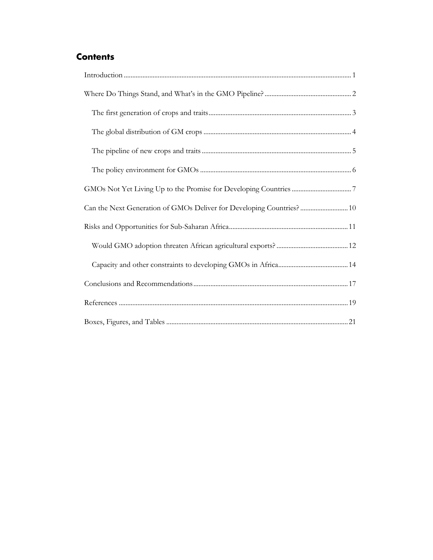## **Contents**

| Can the Next Generation of GMOs Deliver for Developing Countries?  10 |
|-----------------------------------------------------------------------|
|                                                                       |
|                                                                       |
|                                                                       |
|                                                                       |
|                                                                       |
|                                                                       |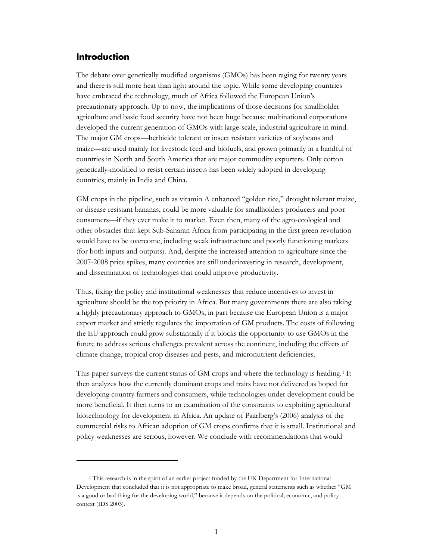### <span id="page-2-0"></span>**Introduction**

 $\overline{a}$ 

The debate over genetically modified organisms (GMOs) has been raging for twenty years and there is still more heat than light around the topic. While some developing countries have embraced the technology, much of Africa followed the European Union's precautionary approach. Up to now, the implications of those decisions for smallholder agriculture and basic food security have not been huge because multinational corporations developed the current generation of GMOs with large-scale, industrial agriculture in mind. The major GM crops—herbicide tolerant or insect resistant varieties of soybeans and maize—are used mainly for livestock feed and biofuels, and grown primarily in a handful of countries in North and South America that are major commodity exporters. Only cotton genetically-modified to resist certain insects has been widely adopted in developing countries, mainly in India and China.

GM crops in the pipeline, such as vitamin A enhanced "golden rice," drought tolerant maize, or disease resistant bananas, could be more valuable for smallholders producers and poor consumers—if they ever make it to market. Even then, many of the agro-ecological and other obstacles that kept Sub-Saharan Africa from participating in the first green revolution would have to be overcome, including weak infrastructure and poorly functioning markets (for both inputs and outputs). And, despite the increased attention to agriculture since the 2007-2008 price spikes, many countries are still underinvesting in research, development, and dissemination of technologies that could improve productivity.

Thus, fixing the policy and institutional weaknesses that reduce incentives to invest in agriculture should be the top priority in Africa. But many governments there are also taking a highly precautionary approach to GMOs, in part because the European Union is a major export market and strictly regulates the importation of GM products. The costs of following the EU approach could grow substantially if it blocks the opportunity to use GMOs in the future to address serious challenges prevalent across the continent, including the effects of climate change, tropical crop diseases and pests, and micronutrient deficiencies.

This paper surveys the current status of GM crops and where the technology is heading.[1](#page-2-1) It then analyzes how the currently dominant crops and traits have not delivered as hoped for developing country farmers and consumers, while technologies under development could be more beneficial. It then turns to an examination of the constraints to exploiting agricultural biotechnology for development in Africa. An update of Paarlberg's (2006) analysis of the commercial risks to African adoption of GM crops confirms that it is small. Institutional and policy weaknesses are serious, however. We conclude with recommendations that would

<span id="page-2-1"></span><sup>&</sup>lt;sup>1</sup> This research is in the spirit of an earlier project funded by the UK Department for International Development that concluded that it is not appropriate to make broad, general statements such as whether "GM is a good or bad thing for the developing world," because it depends on the political, economic, and policy context (IDS 2003).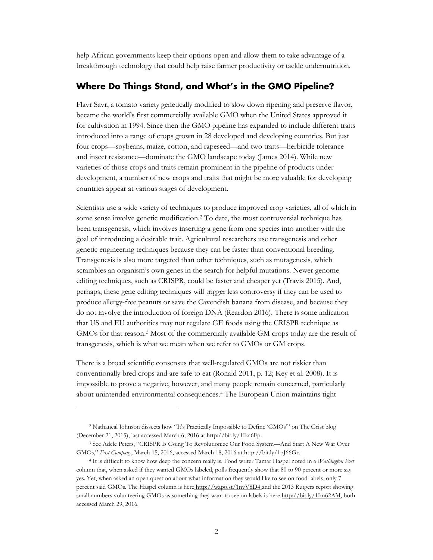help African governments keep their options open and allow them to take advantage of a breakthrough technology that could help raise farmer productivity or tackle undernutrition.

## <span id="page-3-0"></span>**Where Do Things Stand, and What's in the GMO Pipeline?**

Flavr Savr, a tomato variety genetically modified to slow down ripening and preserve flavor, became the world's first commercially available GMO when the United States approved it for cultivation in 1994. Since then the GMO pipeline has expanded to include different traits introduced into a range of crops grown in 28 developed and developing countries. But just four crops—soybeans, maize, cotton, and rapeseed—and two traits—herbicide tolerance and insect resistance—dominate the GMO landscape today (James 2014). While new varieties of those crops and traits remain prominent in the pipeline of products under development, a number of new crops and traits that might be more valuable for developing countries appear at various stages of development.

Scientists use a wide variety of techniques to produce improved crop varieties, all of which in some sense involve genetic modification.[2](#page-3-1) To date, the most controversial technique has been transgenesis, which involves inserting a gene from one species into another with the goal of introducing a desirable trait. Agricultural researchers use transgenesis and other genetic engineering techniques because they can be faster than conventional breeding. Transgenesis is also more targeted than other techniques, such as mutagenesis, which scrambles an organism's own genes in the search for helpful mutations. Newer genome editing techniques, such as CRISPR, could be faster and cheaper yet (Travis 2015). And, perhaps, these gene editing techniques will trigger less controversy if they can be used to produce allergy-free peanuts or save the Cavendish banana from disease, and because they do not involve the introduction of foreign DNA (Reardon 2016). There is some indication that US and EU authorities may not regulate GE foods using the CRISPR technique as GMOs for that reason.[3](#page-3-2) Most of the commercially available GM crops today are the result of transgenesis, which is what we mean when we refer to GMOs or GM crops.

There is a broad scientific consensus that well-regulated GMOs are not riskier than conventionally bred crops and are safe to eat (Ronald 2011, p. 12; Key et al. 2008). It is impossible to prove a negative, however, and many people remain concerned, particularly about unintended environmental consequences.[4](#page-3-3) The European Union maintains tight

 $\overline{a}$ 

<span id="page-3-1"></span><sup>2</sup> Nathaneal Johnson dissects how "It's Practically Impossible to Define 'GMOs'" on The Grist blog (December 21, 2015), last accessed March 6, 2016 a[t http://bit.ly/1Ika6Fp.](http://bit.ly/1Ika6Fp)

<span id="page-3-2"></span><sup>3</sup> See Adele Peters, "CRISPR Is Going To Revolutionize Our Food System—And Start A New War Over GMOs," *Fast Company*, March 15, 2016, accessed March 18, 2016 at [http://bit.ly/1pJ66Gc.](http://bit.ly/1pJ66Gc)

<span id="page-3-3"></span><sup>4</sup> It is difficult to know how deep the concern really is. Food writer Tamar Haspel noted in a *Washington Post*  column that, when asked if they wanted GMOs labeled, polls frequently show that 80 to 90 percent or more say yes. Yet, when asked an open question about what information they would like to see on food labels, only 7 percent said GMOs. The Haspel column is here <http://wapo.st/1nvV8D4> and the 2013 Rutgers report showing small numbers volunteering GMOs as something they want to see on labels is here [http://bit.ly/1Im62AM,](http://bit.ly/1Im62AM) both accessed March 29, 2016.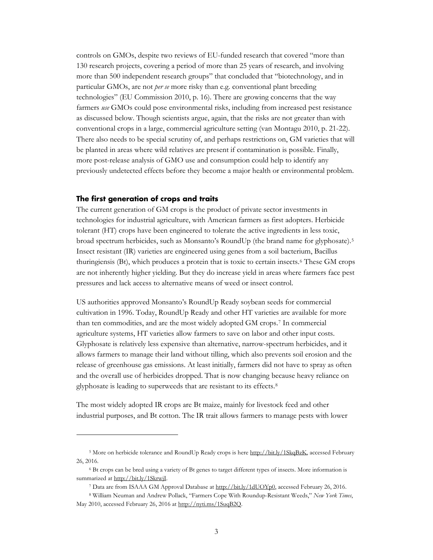controls on GMOs, despite two reviews of EU-funded research that covered "more than 130 research projects, covering a period of more than 25 years of research, and involving more than 500 independent research groups" that concluded that "biotechnology, and in particular GMOs, are not *per se* more risky than e.g. conventional plant breeding technologies" (EU Commission 2010, p. 16). There are growing concerns that the way farmers *use* GMOs could pose environmental risks, including from increased pest resistance as discussed below. Though scientists argue, again, that the risks are not greater than with conventional crops in a large, commercial agriculture setting (van Montagu 2010, p. 21-22). There also needs to be special scrutiny of, and perhaps restrictions on, GM varieties that will be planted in areas where wild relatives are present if contamination is possible. Finally, more post-release analysis of GMO use and consumption could help to identify any previously undetected effects before they become a major health or environmental problem.

#### <span id="page-4-0"></span>**The first generation of crops and traits**

 $\overline{a}$ 

The current generation of GM crops is the product of private sector investments in technologies for industrial agriculture, with American farmers as first adopters. Herbicide tolerant (HT) crops have been engineered to tolerate the active ingredients in less toxic, broad spectrum herbicides, such as Monsanto's RoundUp (the brand name for glyphosate).[5](#page-4-1) Insect resistant (IR) varieties are engineered using genes from a soil bacterium, Bacillus thuringiensis (Bt), which produces a protein that is toxic to certain insects.[6](#page-4-2) These GM crops are not inherently higher yielding. But they do increase yield in areas where farmers face pest pressures and lack access to alternative means of weed or insect control.

US authorities approved Monsanto's RoundUp Ready soybean seeds for commercial cultivation in 1996. Today, RoundUp Ready and other HT varieties are available for more than ten commodities, and are the most widely adopted GM crops.[7](#page-4-3) In commercial agriculture systems, HT varieties allow farmers to save on labor and other input costs. Glyphosate is relatively less expensive than alternative, narrow-spectrum herbicides, and it allows farmers to manage their land without tilling, which also prevents soil erosion and the release of greenhouse gas emissions. At least initially, farmers did not have to spray as often and the overall use of herbicides dropped. That is now changing because heavy reliance on glyphosate is leading to superweeds that are resistant to its effects.[8](#page-4-4)

The most widely adopted IR crops are Bt maize, mainly for livestock feed and other industrial purposes, and Bt cotton. The IR trait allows farmers to manage pests with lower

<span id="page-4-1"></span><sup>&</sup>lt;sup>5</sup> More on herbicide tolerance and RoundUp Ready crops is here [http://bit.ly/1SkqBzK,](http://bit.ly/1SkqBzK) accessed February 26, 2016.

<span id="page-4-2"></span><sup>6</sup> Bt crops can be bred using a variety of Bt genes to target different types of insects. More information is summarized at [http://bit.ly/1SkrwjI.](http://bit.ly/1SkrwjI)

<sup>7</sup> Data are from ISAAA GM Approval Database at [http://bit.ly/1dUOYp0,](http://bit.ly/1dUOYp0) accessed February 26, 2016.

<span id="page-4-4"></span><span id="page-4-3"></span><sup>8</sup> William Neuman and Andrew Pollack, "Farmers Cope With Roundup-Resistant Weeds," *New York Times*, May 2010, accessed February 26, 2016 at [http://nyti.ms/1SuqB2Q.](http://nyti.ms/1SuqB2Q)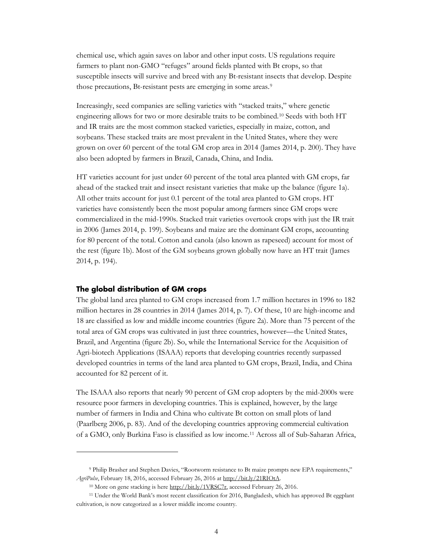chemical use, which again saves on labor and other input costs. US regulations require farmers to plant non-GMO "refuges" around fields planted with Bt crops, so that susceptible insects will survive and breed with any Bt-resistant insects that develop. Despite those precautions, Bt-resistant pests are emerging in some areas.<sup>[9](#page-5-1)</sup>

Increasingly, seed companies are selling varieties with "stacked traits," where genetic engineering allows for two or more desirable traits to be combined.<sup>[10](#page-5-2)</sup> Seeds with both HT and IR traits are the most common stacked varieties, especially in maize, cotton, and soybeans. These stacked traits are most prevalent in the United States, where they were grown on over 60 percent of the total GM crop area in 2014 (James 2014, p. 200). They have also been adopted by farmers in Brazil, Canada, China, and India.

HT varieties account for just under 60 percent of the total area planted with GM crops, far ahead of the stacked trait and insect resistant varieties that make up the balance (figure 1a). All other traits account for just 0.1 percent of the total area planted to GM crops. HT varieties have consistently been the most popular among farmers since GM crops were commercialized in the mid-1990s. Stacked trait varieties overtook crops with just the IR trait in 2006 (James 2014, p. 199). Soybeans and maize are the dominant GM crops, accounting for 80 percent of the total. Cotton and canola (also known as rapeseed) account for most of the rest (figure 1b). Most of the GM soybeans grown globally now have an HT trait (James 2014, p. 194).

#### <span id="page-5-0"></span>**The global distribution of GM crops**

 $\overline{a}$ 

The global land area planted to GM crops increased from 1.7 million hectares in 1996 to 182 million hectares in 28 countries in 2014 (James 2014, p. 7). Of these, 10 are high-income and 18 are classified as low and middle income countries (figure 2a). More than 75 percent of the total area of GM crops was cultivated in just three countries, however—the United States, Brazil, and Argentina (figure 2b). So, while the International Service for the Acquisition of Agri-biotech Applications (ISAAA) reports that developing countries recently surpassed developed countries in terms of the land area planted to GM crops, Brazil, India, and China accounted for 82 percent of it.

The ISAAA also reports that nearly 90 percent of GM crop adopters by the mid-2000s were resource poor farmers in developing countries. This is explained, however, by the large number of farmers in India and China who cultivate Bt cotton on small plots of land (Paarlberg 2006, p. 83). And of the developing countries approving commercial cultivation of a GMO, only Burkina Faso is classified as low income.[11](#page-5-3) Across all of Sub-Saharan Africa,

<span id="page-5-1"></span><sup>9</sup> Philip Brasher and Stephen Davies, "Rootworm resistance to Bt maize prompts new EPA requirements," *AgriPulse*, February 18, 2016, accessed February 26, 2016 a[t http://bit.ly/21RIOtA.](http://bit.ly/21RIOtA) 

<sup>&</sup>lt;sup>10</sup> More on gene stacking is here [http://bit.ly/1VRSC7r,](http://bit.ly/1VRSC7r) accessed February 26, 2016.

<span id="page-5-3"></span><span id="page-5-2"></span><sup>11</sup> Under the World Bank's most recent classification for 2016, Bangladesh, which has approved Bt eggplant cultivation, is now categorized as a lower middle income country.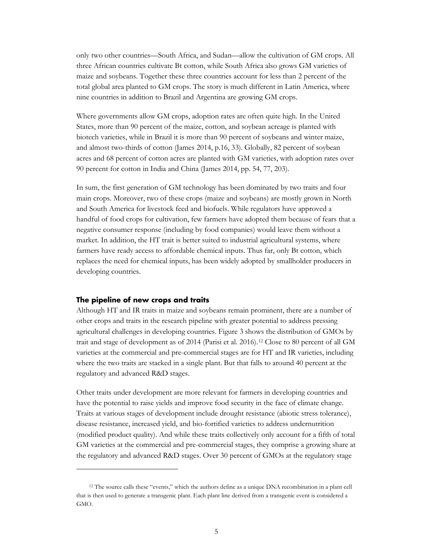only two other countries—South Africa, and Sudan—allow the cultivation of GM crops. All three African countries cultivate Bt cotton, while South Africa also grows GM varieties of maize and soybeans. Together these three countries account for less than 2 percent of the total global area planted to GM crops. The story is much different in Latin America, where nine countries in addition to Brazil and Argentina are growing GM crops.

Where governments allow GM crops, adoption rates are often quite high. In the United States, more than 90 percent of the maize, cotton, and soybean acreage is planted with biotech varieties, while in Brazil it is more than 90 percent of soybeans and winter maize, and almost two-thirds of cotton (James 2014, p.16, 33). Globally, 82 percent of soybean acres and 68 percent of cotton acres are planted with GM varieties, with adoption rates over 90 percent for cotton in India and China (James 2014, pp. 54, 77, 203).

In sum, the first generation of GM technology has been dominated by two traits and four main crops. Moreover, two of these crops (maize and soybeans) are mostly grown in North and South America for livestock feed and biofuels. While regulators have approved a handful of food crops for cultivation, few farmers have adopted them because of fears that a negative consumer response (including by food companies) would leave them without a market. In addition, the HT trait is better suited to industrial agricultural systems, where farmers have ready access to affordable chemical inputs. Thus far, only Bt cotton, which replaces the need for chemical inputs, has been widely adopted by smallholder producers in developing countries.

#### <span id="page-6-0"></span>**The pipeline of new crops and traits**

 $\overline{a}$ 

Although HT and IR traits in maize and soybeans remain prominent, there are a number of other crops and traits in the research pipeline with greater potential to address pressing agricultural challenges in developing countries. Figure 3 shows the distribution of GMOs by trait and stage of development as of 2014 (Parisi et al. 2016).[12](#page-6-1) Close to 80 percent of all GM varieties at the commercial and pre-commercial stages are for HT and IR varieties, including where the two traits are stacked in a single plant. But that falls to around 40 percent at the regulatory and advanced R&D stages.

Other traits under development are more relevant for farmers in developing countries and have the potential to raise yields and improve food security in the face of climate change. Traits at various stages of development include drought resistance (abiotic stress tolerance), disease resistance, increased yield, and bio-fortified varieties to address undernutrition (modified product quality). And while these traits collectively only account for a fifth of total GM varieties at the commercial and pre-commercial stages, they comprise a growing share at the regulatory and advanced R&D stages. Over 30 percent of GMOs at the regulatory stage

<span id="page-6-1"></span><sup>12</sup> The source calls these "events," which the authors define as a unique DNA recombination in a plant cell that is then used to generate a transgenic plant. Each plant line derived from a transgenic event is considered a GMO.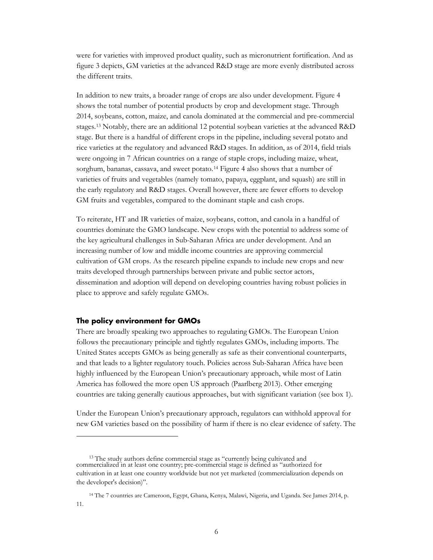were for varieties with improved product quality, such as micronutrient fortification. And as figure 3 depicts, GM varieties at the advanced R&D stage are more evenly distributed across the different traits.

In addition to new traits, a broader range of crops are also under development. Figure 4 shows the total number of potential products by crop and development stage. Through 2014, soybeans, cotton, maize, and canola dominated at the commercial and pre-commercial stages.[13](#page-7-1) Notably, there are an additional 12 potential soybean varieties at the advanced R&D stage. But there is a handful of different crops in the pipeline, including several potato and rice varieties at the regulatory and advanced R&D stages. In addition, as of 2014, field trials were ongoing in 7 African countries on a range of staple crops, including maize, wheat, sorghum, bananas, cassava, and sweet potato.[14](#page-7-2) Figure 4 also shows that a number of varieties of fruits and vegetables (namely tomato, papaya, eggplant, and squash) are still in the early regulatory and R&D stages. Overall however, there are fewer efforts to develop GM fruits and vegetables, compared to the dominant staple and cash crops.

To reiterate, HT and IR varieties of maize, soybeans, cotton, and canola in a handful of countries dominate the GMO landscape. New crops with the potential to address some of the key agricultural challenges in Sub-Saharan Africa are under development. And an increasing number of low and middle income countries are approving commercial cultivation of GM crops. As the research pipeline expands to include new crops and new traits developed through partnerships between private and public sector actors, dissemination and adoption will depend on developing countries having robust policies in place to approve and safely regulate GMOs.

#### <span id="page-7-0"></span>**The policy environment for GMOs**

There are broadly speaking two approaches to regulating GMOs. The European Union follows the precautionary principle and tightly regulates GMOs, including imports. The United States accepts GMOs as being generally as safe as their conventional counterparts, and that leads to a lighter regulatory touch. Policies across Sub-Saharan Africa have been highly influenced by the European Union's precautionary approach, while most of Latin America has followed the more open US approach (Paarlberg 2013). Other emerging countries are taking generally cautious approaches, but with significant variation (see box 1).

Under the European Union's precautionary approach, regulators can withhold approval for new GM varieties based on the possibility of harm if there is no clear evidence of safety. The

<span id="page-7-1"></span><sup>&</sup>lt;sup>13</sup> The study authors define commercial stage as "currently being cultivated and commercialized in at least one country; pre-commercial stage is defined as "authorized for cultivation in at least one country worldwide but not yet marketed (commercialization depends on the developer's decision)".

<span id="page-7-2"></span><sup>14</sup> The 7 countries are Cameroon, Egypt, Ghana, Kenya, Malawi, Nigeria, and Uganda. See James 2014, p. 11.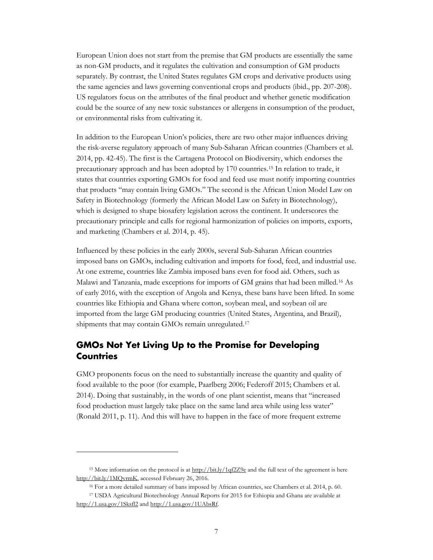European Union does not start from the premise that GM products are essentially the same as non-GM products, and it regulates the cultivation and consumption of GM products separately. By contrast, the United States regulates GM crops and derivative products using the same agencies and laws governing conventional crops and products (ibid., pp. 207-208). US regulators focus on the attributes of the final product and whether genetic modification could be the source of any new toxic substances or allergens in consumption of the product, or environmental risks from cultivating it.

In addition to the European Union's policies, there are two other major influences driving the risk-averse regulatory approach of many Sub-Saharan African countries (Chambers et al. 2014, pp. 42-45). The first is the Cartagena Protocol on Biodiversity, which endorses the precautionary approach and has been adopted by 170 countries.[15](#page-8-1) In relation to trade, it states that countries exporting GMOs for food and feed use must notify importing countries that products "may contain living GMOs." The second is the African Union Model Law on Safety in Biotechnology (formerly the African Model Law on Safety in Biotechnology), which is designed to shape biosafety legislation across the continent. It underscores the precautionary principle and calls for regional harmonization of policies on imports, exports, and marketing (Chambers et al. 2014, p. 45).

Influenced by these policies in the early 2000s, several Sub-Saharan African countries imposed bans on GMOs, including cultivation and imports for food, feed, and industrial use. At one extreme, countries like Zambia imposed bans even for food aid. Others, such as Malawi and Tanzania, made exceptions for imports of GM grains that had been milled.[16](#page-8-2) As of early 2016, with the exception of Angola and Kenya, these bans have been lifted. In some countries like Ethiopia and Ghana where cotton, soybean meal, and soybean oil are imported from the large GM producing countries (United States, Argentina, and Brazil), shipments that may contain GMOs remain unregulated.<sup>[17](#page-8-3)</sup>

## <span id="page-8-0"></span>**GMOs Not Yet Living Up to the Promise for Developing Countries**

GMO proponents focus on the need to substantially increase the quantity and quality of food available to the poor (for example, Paarlberg 2006; Federoff 2015; Chambers et al. 2014). Doing that sustainably, in the words of one plant scientist, means that "increased food production must largely take place on the same land area while using less water" (Ronald 2011, p. 11). And this will have to happen in the face of more frequent extreme

<span id="page-8-1"></span><sup>&</sup>lt;sup>15</sup> More information on the protocol is at  $\frac{http://bit.lv/1qf2Z9e}{http://bit.lv/1qf2Z9e}$  and the full text of the agreement is here [http://bit.ly/1MQvrmK,](http://bit.ly/1MQvrmK) accessed February 26, 2016.

<sup>16</sup> For a more detailed summary of bans imposed by African countries, see Chambers et al. 2014, p. 60.

<span id="page-8-3"></span><span id="page-8-2"></span><sup>17</sup> USDA Agricultural Biotechnology Annual Reports for 2015 for Ethiopia and Ghana are available at <http://1.usa.gov/1Sksfl2> an[d http://1.usa.gov/1UAbsRf.](http://1.usa.gov/1UAbsRf)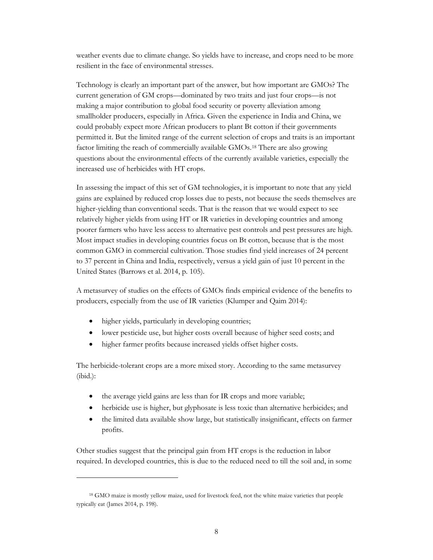weather events due to climate change. So yields have to increase, and crops need to be more resilient in the face of environmental stresses.

Technology is clearly an important part of the answer, but how important are GMOs? The current generation of GM crops—dominated by two traits and just four crops—is not making a major contribution to global food security or poverty alleviation among smallholder producers, especially in Africa. Given the experience in India and China, we could probably expect more African producers to plant Bt cotton if their governments permitted it. But the limited range of the current selection of crops and traits is an important factor limiting the reach of commercially available GMOs.[18](#page-9-0) There are also growing questions about the environmental effects of the currently available varieties, especially the increased use of herbicides with HT crops.

In assessing the impact of this set of GM technologies, it is important to note that any yield gains are explained by reduced crop losses due to pests, not because the seeds themselves are higher-yielding than conventional seeds. That is the reason that we would expect to see relatively higher yields from using HT or IR varieties in developing countries and among poorer farmers who have less access to alternative pest controls and pest pressures are high. Most impact studies in developing countries focus on Bt cotton, because that is the most common GMO in commercial cultivation. Those studies find yield increases of 24 percent to 37 percent in China and India, respectively, versus a yield gain of just 10 percent in the United States (Barrows et al. 2014, p. 105).

A metasurvey of studies on the effects of GMOs finds empirical evidence of the benefits to producers, especially from the use of IR varieties (Klumper and Qaim 2014):

- higher yields, particularly in developing countries;
- lower pesticide use, but higher costs overall because of higher seed costs; and
- higher farmer profits because increased yields offset higher costs.

The herbicide-tolerant crops are a more mixed story. According to the same metasurvey (ibid.):

- the average yield gains are less than for IR crops and more variable;
- herbicide use is higher, but glyphosate is less toxic than alternative herbicides; and
- the limited data available show large, but statistically insignificant, effects on farmer profits.

Other studies suggest that the principal gain from HT crops is the reduction in labor required. In developed countries, this is due to the reduced need to till the soil and, in some

<span id="page-9-0"></span><sup>18</sup> GMO maize is mostly yellow maize, used for livestock feed, not the white maize varieties that people typically eat (James 2014, p. 198).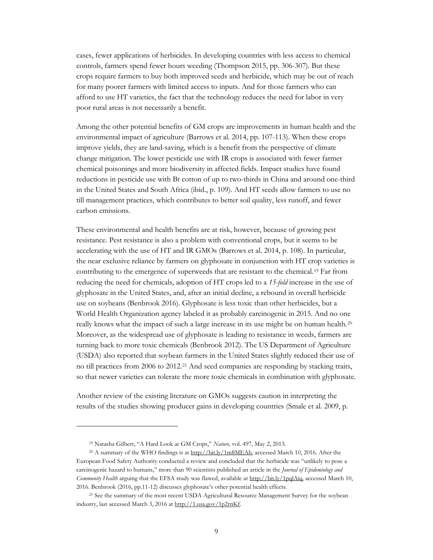cases, fewer applications of herbicides. In developing countries with less access to chemical controls, farmers spend fewer hours weeding (Thompson 2015, pp. 306-307). But these crops require farmers to buy both improved seeds and herbicide, which may be out of reach for many poorer farmers with limited access to inputs. And for those farmers who can afford to use HT varieties, the fact that the technology reduces the need for labor in very poor rural areas is not necessarily a benefit.

Among the other potential benefits of GM crops are improvements in human health and the environmental impact of agriculture (Barrows et al. 2014, pp. 107-113). When these crops improve yields, they are land-saving, which is a benefit from the perspective of climate change mitigation. The lower pesticide use with IR crops is associated with fewer farmer chemical poisonings and more biodiversity in affected fields. Impact studies have found reductions in pesticide use with Bt cotton of up to two-thirds in China and around one-third in the United States and South Africa (ibid., p. 109). And HT seeds allow farmers to use no till management practices, which contributes to better soil quality, less runoff, and fewer carbon emissions.

These environmental and health benefits are at risk, however, because of growing pest resistance. Pest resistance is also a problem with conventional crops, but it seems to be accelerating with the use of HT and IR GMOs (Barrows et al. 2014, p. 108). In particular, the near exclusive reliance by farmers on glyphosate in conjunction with HT crop varieties is contributing to the emergence of superweeds that are resistant to the chemical.[19](#page-10-0) Far from reducing the need for chemicals, adoption of HT crops led to a *15-fold* increase in the use of glyphosate in the United States, and, after an initial decline, a rebound in overall herbicide use on soybeans (Benbrook 2016). Glyphosate is less toxic than other herbicides, but a World Health Organization agency labeled it as probably carcinogenic in 2015. And no one really knows what the impact of such a large increase in its use might be on human health.<sup>[20](#page-10-1)</sup> Moreover, as the widespread use of glyphosate is leading to resistance in weeds, farmers are turning back to more toxic chemicals (Benbrook 2012). The US Department of Agriculture (USDA) also reported that soybean farmers in the United States slightly reduced their use of no till practices from 2006 to 2012.[21](#page-10-2) And seed companies are responding by stacking traits, so that newer varieties can tolerate the more toxic chemicals in combination with glyphosate.

Another review of the existing literature on GMOs suggests caution in interpreting the results of the studies showing producer gains in developing countries (Smale et al. 2009, p.

<sup>19</sup> Natasha Gilbert, "A Hard Look at GM Crops," *Nature,* vol. 497, May 2, 2013.

<span id="page-10-1"></span><span id="page-10-0"></span><sup>&</sup>lt;sup>20</sup> A summary of the WHO findings is at http://bit.ly/1m8MEAh, accessed March 10, 2016. After the European Food Safety Authority conducted a review and concluded that the herbicide was "unlikely to pose a carcinogenic hazard to humans," more than 90 scientists published an article in the *Journal of Epidemiology and Community Health* arguing that the EFSA study was flawed, available at [http://bit.ly/1pqlAiq,](http://bit.ly/1pqlAiq) accessed March 10, 2016. Benbrook (2016, pp.11-12) discusses glyphosate's other potential health effects.

<span id="page-10-2"></span><sup>&</sup>lt;sup>21</sup> See the summary of the most recent USDA Agricultural Resource Management Survey for the soybean industry, last accessed March 3, 2016 at [http://1.usa.gov/1p2rnKf.](http://1.usa.gov/1p2rnKf)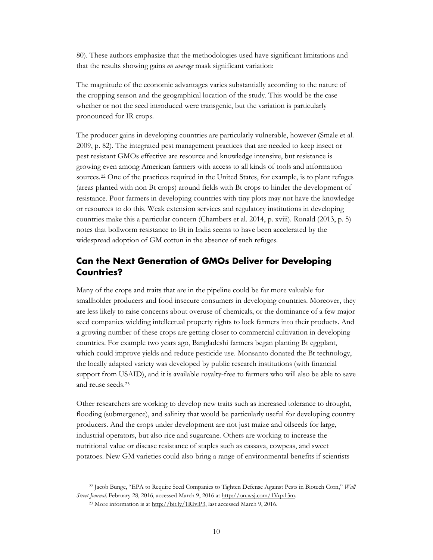80). These authors emphasize that the methodologies used have significant limitations and that the results showing gains *on average* mask significant variation:

The magnitude of the economic advantages varies substantially according to the nature of the cropping season and the geographical location of the study. This would be the case whether or not the seed introduced were transgenic, but the variation is particularly pronounced for IR crops.

The producer gains in developing countries are particularly vulnerable, however (Smale et al. 2009, p. 82). The integrated pest management practices that are needed to keep insect or pest resistant GMOs effective are resource and knowledge intensive, but resistance is growing even among American farmers with access to all kinds of tools and information sources.<sup>[22](#page-11-1)</sup> One of the practices required in the United States, for example, is to plant refuges (areas planted with non Bt crops) around fields with Bt crops to hinder the development of resistance. Poor farmers in developing countries with tiny plots may not have the knowledge or resources to do this. Weak extension services and regulatory institutions in developing countries make this a particular concern (Chambers et al. 2014, p. xviii). Ronald (2013, p. 5) notes that bollworm resistance to Bt in India seems to have been accelerated by the widespread adoption of GM cotton in the absence of such refuges.

## <span id="page-11-0"></span>**Can the Next Generation of GMOs Deliver for Developing Countries?**

Many of the crops and traits that are in the pipeline could be far more valuable for smallholder producers and food insecure consumers in developing countries. Moreover, they are less likely to raise concerns about overuse of chemicals, or the dominance of a few major seed companies wielding intellectual property rights to lock farmers into their products. And a growing number of these crops are getting closer to commercial cultivation in developing countries. For example two years ago, Bangladeshi farmers began planting Bt eggplant, which could improve yields and reduce pesticide use. Monsanto donated the Bt technology, the locally adapted variety was developed by public research institutions (with financial support from USAID), and it is available royalty-free to farmers who will also be able to save and reuse seeds.[23](#page-11-2)

Other researchers are working to develop new traits such as increased tolerance to drought, flooding (submergence), and salinity that would be particularly useful for developing country producers. And the crops under development are not just maize and oilseeds for large, industrial operators, but also rice and sugarcane. Others are working to increase the nutritional value or disease resistance of staples such as cassava, cowpeas, and sweet potatoes. New GM varieties could also bring a range of environmental benefits if scientists

<span id="page-11-2"></span><span id="page-11-1"></span><sup>22</sup> Jacob Bunge, "EPA to Require Seed Companies to Tighten Defense Against Pests in Biotech Corn," *Wall Street Journal,* February 28, 2016, accessed March 9, 2016 a[t http://on.wsj.com/1Vqx13m.](http://on.wsj.com/1Vqx13m) 

<sup>23</sup> More information is at [http://bit.ly/1RIvlP3,](http://bit.ly/1RIvlP3) last accessed March 9, 2016.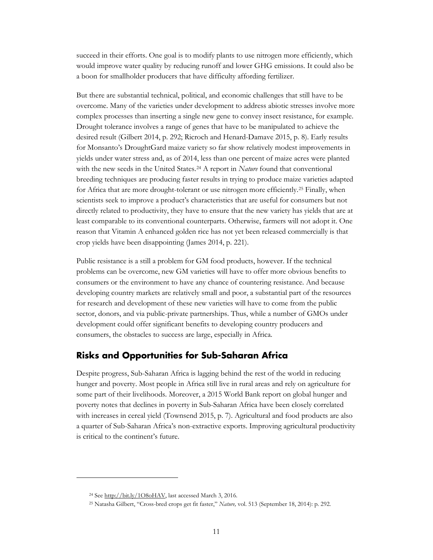succeed in their efforts. One goal is to modify plants to use nitrogen more efficiently, which would improve water quality by reducing runoff and lower GHG emissions. It could also be a boon for smallholder producers that have difficulty affording fertilizer.

But there are substantial technical, political, and economic challenges that still have to be overcome. Many of the varieties under development to address abiotic stresses involve more complex processes than inserting a single new gene to convey insect resistance, for example. Drought tolerance involves a range of genes that have to be manipulated to achieve the desired result (Gilbert 2014, p. 292; Ricroch and Henard-Damave 2015, p. 8). Early results for Monsanto's DroughtGard maize variety so far show relatively modest improvements in yields under water stress and, as of 2014, less than one percent of maize acres were planted with the new seeds in the United States.<sup>[24](#page-12-1)</sup> A report in *Nature* found that conventional breeding techniques are producing faster results in trying to produce maize varieties adapted for Africa that are more drought-tolerant or use nitrogen more efficiently.<sup>[25](#page-12-2)</sup> Finally, when scientists seek to improve a product's characteristics that are useful for consumers but not directly related to productivity, they have to ensure that the new variety has yields that are at least comparable to its conventional counterparts. Otherwise, farmers will not adopt it. One reason that Vitamin A enhanced golden rice has not yet been released commercially is that crop yields have been disappointing (James 2014, p. 221).

Public resistance is a still a problem for GM food products, however. If the technical problems can be overcome, new GM varieties will have to offer more obvious benefits to consumers or the environment to have any chance of countering resistance. And because developing country markets are relatively small and poor, a substantial part of the resources for research and development of these new varieties will have to come from the public sector, donors, and via public-private partnerships. Thus, while a number of GMOs under development could offer significant benefits to developing country producers and consumers, the obstacles to success are large, especially in Africa.

## <span id="page-12-0"></span>**Risks and Opportunities for Sub-Saharan Africa**

Despite progress, Sub-Saharan Africa is lagging behind the rest of the world in reducing hunger and poverty. Most people in Africa still live in rural areas and rely on agriculture for some part of their livelihoods. Moreover, a 2015 World Bank report on global hunger and poverty notes that declines in poverty in Sub-Saharan Africa have been closely correlated with increases in cereal yield (Townsend 2015, p. 7). Agricultural and food products are also a quarter of Sub-Saharan Africa's non-extractive exports. Improving agricultural productivity is critical to the continent's future.

<span id="page-12-2"></span><span id="page-12-1"></span> $\overline{a}$ 

<sup>24</sup> See [http://bit.ly/1O8oHAV,](http://bit.ly/1O8oHAV) last accessed March 3, 2016.

<sup>25</sup> Natasha Gilbert, "Cross-bred crops get fit faster," *Nature,* vol. 513 (September 18, 2014): p. 292.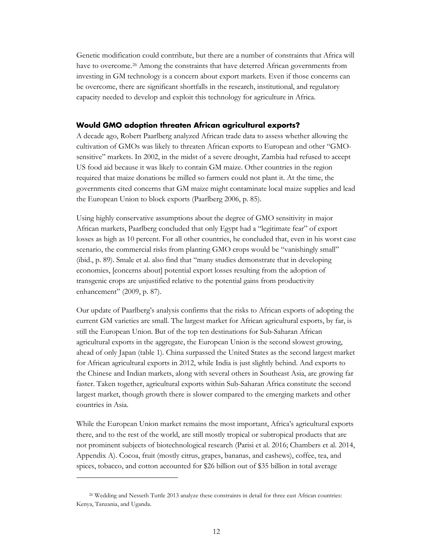Genetic modification could contribute, but there are a number of constraints that Africa will have to overcome.<sup>[26](#page-13-1)</sup> Among the constraints that have deterred African governments from investing in GM technology is a concern about export markets. Even if those concerns can be overcome, there are significant shortfalls in the research, institutional, and regulatory capacity needed to develop and exploit this technology for agriculture in Africa.

#### <span id="page-13-0"></span>**Would GMO adoption threaten African agricultural exports?**

A decade ago, Robert Paarlberg analyzed African trade data to assess whether allowing the cultivation of GMOs was likely to threaten African exports to European and other "GMOsensitive" markets. In 2002, in the midst of a severe drought, Zambia had refused to accept US food aid because it was likely to contain GM maize. Other countries in the region required that maize donations be milled so farmers could not plant it. At the time, the governments cited concerns that GM maize might contaminate local maize supplies and lead the European Union to block exports (Paarlberg 2006, p. 85).

Using highly conservative assumptions about the degree of GMO sensitivity in major African markets, Paarlberg concluded that only Egypt had a "legitimate fear" of export losses as high as 10 percent. For all other countries, he concluded that, even in his worst case scenario, the commercial risks from planting GMO crops would be "vanishingly small" (ibid., p. 89). Smale et al. also find that "many studies demonstrate that in developing economies, [concerns about] potential export losses resulting from the adoption of transgenic crops are unjustified relative to the potential gains from productivity enhancement" (2009, p. 87).

Our update of Paarlberg's analysis confirms that the risks to African exports of adopting the current GM varieties are small. The largest market for African agricultural exports, by far, is still the European Union. But of the top ten destinations for Sub-Saharan African agricultural exports in the aggregate, the European Union is the second slowest growing, ahead of only Japan (table 1). China surpassed the United States as the second largest market for African agricultural exports in 2012, while India is just slightly behind. And exports to the Chinese and Indian markets, along with several others in Southeast Asia, are growing far faster. Taken together, agricultural exports within Sub-Saharan Africa constitute the second largest market, though growth there is slower compared to the emerging markets and other countries in Asia.

While the European Union market remains the most important, Africa's agricultural exports there, and to the rest of the world, are still mostly tropical or subtropical products that are not prominent subjects of biotechnological research (Parisi et al. 2016; Chambers et al. 2014, Appendix A). Cocoa, fruit (mostly citrus, grapes, bananas, and cashews), coffee, tea, and spices, tobacco, and cotton accounted for \$26 billion out of \$35 billion in total average

<span id="page-13-1"></span><sup>&</sup>lt;sup>26</sup> Wedding and Nesseth Tuttle 2013 analyze these constraints in detail for three east African countries: Kenya, Tanzania, and Uganda.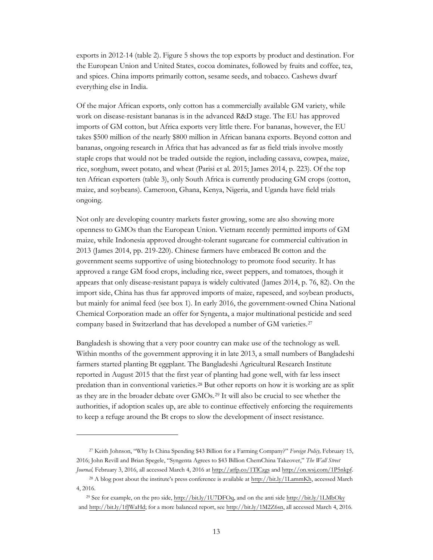exports in 2012-14 (table 2). Figure 5 shows the top exports by product and destination. For the European Union and United States, cocoa dominates, followed by fruits and coffee, tea, and spices. China imports primarily cotton, sesame seeds, and tobacco. Cashews dwarf everything else in India.

Of the major African exports, only cotton has a commercially available GM variety, while work on disease-resistant bananas is in the advanced R&D stage. The EU has approved imports of GM cotton, but Africa exports very little there. For bananas, however, the EU takes \$500 million of the nearly \$800 million in African banana exports. Beyond cotton and bananas, ongoing research in Africa that has advanced as far as field trials involve mostly staple crops that would not be traded outside the region, including cassava, cowpea, maize, rice, sorghum, sweet potato, and wheat (Parisi et al. 2015; James 2014, p. 223). Of the top ten African exporters (table 3), only South Africa is currently producing GM crops (cotton, maize, and soybeans). Cameroon, Ghana, Kenya, Nigeria, and Uganda have field trials ongoing.

Not only are developing country markets faster growing, some are also showing more openness to GMOs than the European Union. Vietnam recently permitted imports of GM maize, while Indonesia approved drought-tolerant sugarcane for commercial cultivation in 2013 (James 2014, pp. 219-220). Chinese farmers have embraced Bt cotton and the government seems supportive of using biotechnology to promote food security. It has approved a range GM food crops, including rice, sweet peppers, and tomatoes, though it appears that only disease-resistant papaya is widely cultivated (James 2014, p. 76, 82). On the import side, China has thus far approved imports of maize, rapeseed, and soybean products, but mainly for animal feed (see box 1). In early 2016, the government-owned China National Chemical Corporation made an offer for Syngenta, a major multinational pesticide and seed company based in Switzerland that has developed a number of GM varieties[.27](#page-14-0) 

Bangladesh is showing that a very poor country can make use of the technology as well. Within months of the government approving it in late 2013, a small numbers of Bangladeshi farmers started planting Bt eggplant. The Bangladeshi Agricultural Research Institute reported in August 2015 that the first year of planting had gone well, with far less insect predation than in conventional varieties.[28](#page-14-1) But other reports on how it is working are as split as they are in the broader debate over GMOs.[29](#page-14-2) It will also be crucial to see whether the authorities, if adoption scales up, are able to continue effectively enforcing the requirements to keep a refuge around the Bt crops to slow the development of insect resistance.

<span id="page-14-0"></span><sup>27</sup> Keith Johnson, "Why Is China Spending \$43 Billion for a Farming Company?" *Foreign Policy,* February 15, 2016; John Revill and Brian Spegele, "Syngenta Agrees to \$43 Billion ChemChina Takeover," *The Wall Street Journal,* February 3, 2016, all accessed March 4, 2016 at <http://atfp.co/1TlCzgs> and [http://on.wsj.com/1P5nkpf.](http://on.wsj.com/1P5nkpf) 

<span id="page-14-1"></span><sup>&</sup>lt;sup>28</sup> A blog post about the institute's press conference is available at [http://bit.ly/1LammKh,](http://bit.ly/1LammKh) accessed March 4, 2016.

<span id="page-14-2"></span><sup>29</sup> See for example, on the pro side, <http://bit.ly/1U7DFOq>, and on the anti side <http://bit.ly/1LMbOky> and <http://bit.ly/1fJWaHd>; for a more balanced report, see [http://bit.ly/1M2Z6sn,](http://bit.ly/1M2Z6sn) all accessed March 4, 2016.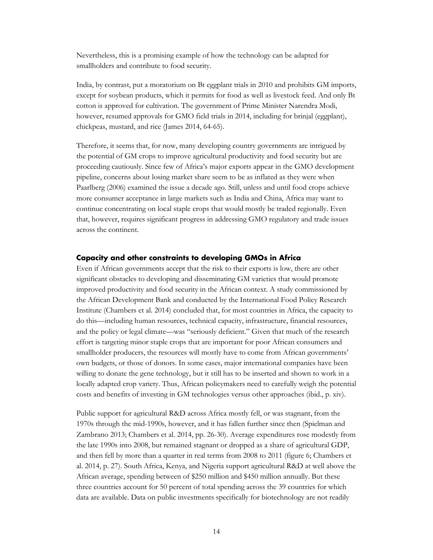Nevertheless, this is a promising example of how the technology can be adapted for smallholders and contribute to food security.

India, by contrast, put a moratorium on Bt eggplant trials in 2010 and prohibits GM imports, except for soybean products, which it permits for food as well as livestock feed. And only Bt cotton is approved for cultivation. The government of Prime Minister Narendra Modi, however, resumed approvals for GMO field trials in 2014, including for brinjal (eggplant), chickpeas, mustard, and rice (James 2014, 64-65).

Therefore, it seems that, for now, many developing country governments are intrigued by the potential of GM crops to improve agricultural productivity and food security but are proceeding cautiously. Since few of Africa's major exports appear in the GMO development pipeline, concerns about losing market share seem to be as inflated as they were when Paarlberg (2006) examined the issue a decade ago. Still, unless and until food crops achieve more consumer acceptance in large markets such as India and China, Africa may want to continue concentrating on local staple crops that would mostly be traded regionally. Even that, however, requires significant progress in addressing GMO regulatory and trade issues across the continent.

#### <span id="page-15-0"></span>**Capacity and other constraints to developing GMOs in Africa**

Even if African governments accept that the risk to their exports is low, there are other significant obstacles to developing and disseminating GM varieties that would promote improved productivity and food security in the African context. A study commissioned by the African Development Bank and conducted by the International Food Policy Research Institute (Chambers et al. 2014) concluded that, for most countries in Africa, the capacity to do this—including human resources, technical capacity, infrastructure, financial resources, and the policy or legal climate—was "seriously deficient." Given that much of the research effort is targeting minor staple crops that are important for poor African consumers and smallholder producers, the resources will mostly have to come from African governments' own budgets, or those of donors. In some cases, major international companies have been willing to donate the gene technology, but it still has to be inserted and shown to work in a locally adapted crop variety. Thus, African policymakers need to carefully weigh the potential costs and benefits of investing in GM technologies versus other approaches (ibid., p. xiv).

Public support for agricultural R&D across Africa mostly fell, or was stagnant, from the 1970s through the mid-1990s, however, and it has fallen further since then (Spielman and Zambrano 2013; Chambers et al. 2014, pp. 26-30). Average expenditures rose modestly from the late 1990s into 2008, but remained stagnant or dropped as a share of agricultural GDP, and then fell by more than a quarter in real terms from 2008 to 2011 (figure 6; Chambers et al. 2014, p. 27). South Africa, Kenya, and Nigeria support agricultural R&D at well above the African average, spending between of \$250 million and \$450 million annually. But these three countries account for 50 percent of total spending across the 39 countries for which data are available. Data on public investments specifically for biotechnology are not readily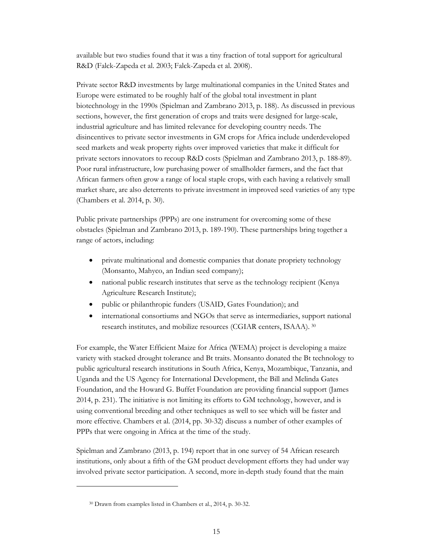available but two studies found that it was a tiny fraction of total support for agricultural R&D (Falck-Zapeda et al. 2003; Falck-Zapeda et al. 2008).

Private sector R&D investments by large multinational companies in the United States and Europe were estimated to be roughly half of the global total investment in plant biotechnology in the 1990s (Spielman and Zambrano 2013, p. 188). As discussed in previous sections, however, the first generation of crops and traits were designed for large-scale, industrial agriculture and has limited relevance for developing country needs. The disincentives to private sector investments in GM crops for Africa include underdeveloped seed markets and weak property rights over improved varieties that make it difficult for private sectors innovators to recoup R&D costs (Spielman and Zambrano 2013, p. 188-89). Poor rural infrastructure, low purchasing power of smallholder farmers, and the fact that African farmers often grow a range of local staple crops, with each having a relatively small market share, are also deterrents to private investment in improved seed varieties of any type (Chambers et al. 2014, p. 30).

Public private partnerships (PPPs) are one instrument for overcoming some of these obstacles (Spielman and Zambrano 2013, p. 189-190). These partnerships bring together a range of actors, including:

- private multinational and domestic companies that donate propriety technology (Monsanto, Mahyco, an Indian seed company);
- national public research institutes that serve as the technology recipient (Kenya Agriculture Research Institute);
- public or philanthropic funders (USAID, Gates Foundation); and
- international consortiums and NGOs that serve as intermediaries, support national research institutes, and mobilize resources (CGIAR centers, ISAAA). [30](#page-16-0)

For example, the Water Efficient Maize for Africa (WEMA) project is developing a maize variety with stacked drought tolerance and Bt traits. Monsanto donated the Bt technology to public agricultural research institutions in South Africa, Kenya, Mozambique, Tanzania, and Uganda and the US Agency for International Development, the Bill and Melinda Gates Foundation, and the Howard G. Buffet Foundation are providing financial support (James 2014, p. 231). The initiative is not limiting its efforts to GM technology, however, and is using conventional breeding and other techniques as well to see which will be faster and more effective. Chambers et al. (2014, pp. 30-32) discuss a number of other examples of PPPs that were ongoing in Africa at the time of the study.

Spielman and Zambrano (2013, p. 194) report that in one survey of 54 African research institutions, only about a fifth of the GM product development efforts they had under way involved private sector participation. A second, more in-depth study found that the main

<span id="page-16-0"></span><sup>30</sup> Drawn from examples listed in Chambers et al., 2014, p. 30-32.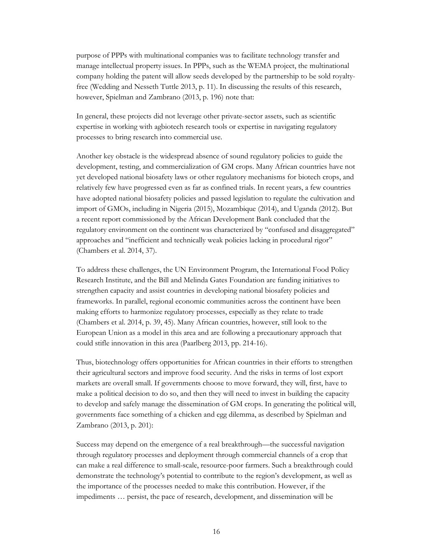purpose of PPPs with multinational companies was to facilitate technology transfer and manage intellectual property issues. In PPPs, such as the WEMA project, the multinational company holding the patent will allow seeds developed by the partnership to be sold royaltyfree (Wedding and Nesseth Tuttle 2013, p. 11). In discussing the results of this research, however, Spielman and Zambrano (2013, p. 196) note that:

In general, these projects did not leverage other private-sector assets, such as scientific expertise in working with agbiotech research tools or expertise in navigating regulatory processes to bring research into commercial use.

Another key obstacle is the widespread absence of sound regulatory policies to guide the development, testing, and commercialization of GM crops. Many African countries have not yet developed national biosafety laws or other regulatory mechanisms for biotech crops, and relatively few have progressed even as far as confined trials. In recent years, a few countries have adopted national biosafety policies and passed legislation to regulate the cultivation and import of GMOs, including in Nigeria (2015), Mozambique (2014), and Uganda (2012). But a recent report commissioned by the African Development Bank concluded that the regulatory environment on the continent was characterized by "confused and disaggregated" approaches and "inefficient and technically weak policies lacking in procedural rigor" (Chambers et al. 2014, 37).

To address these challenges, the UN Environment Program, the International Food Policy Research Institute, and the Bill and Melinda Gates Foundation are funding initiatives to strengthen capacity and assist countries in developing national biosafety policies and frameworks. In parallel, regional economic communities across the continent have been making efforts to harmonize regulatory processes, especially as they relate to trade (Chambers et al. 2014, p. 39, 45). Many African countries, however, still look to the European Union as a model in this area and are following a precautionary approach that could stifle innovation in this area (Paarlberg 2013, pp. 214-16).

Thus, biotechnology offers opportunities for African countries in their efforts to strengthen their agricultural sectors and improve food security. And the risks in terms of lost export markets are overall small. If governments choose to move forward, they will, first, have to make a political decision to do so, and then they will need to invest in building the capacity to develop and safely manage the dissemination of GM crops. In generating the political will, governments face something of a chicken and egg dilemma, as described by Spielman and Zambrano (2013, p. 201):

Success may depend on the emergence of a real breakthrough—the successful navigation through regulatory processes and deployment through commercial channels of a crop that can make a real difference to small-scale, resource-poor farmers. Such a breakthrough could demonstrate the technology's potential to contribute to the region's development, as well as the importance of the processes needed to make this contribution. However, if the impediments … persist, the pace of research, development, and dissemination will be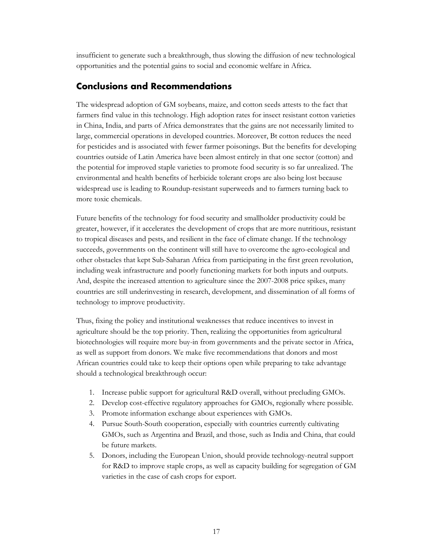insufficient to generate such a breakthrough, thus slowing the diffusion of new technological opportunities and the potential gains to social and economic welfare in Africa.

## <span id="page-18-0"></span>**Conclusions and Recommendations**

The widespread adoption of GM soybeans, maize, and cotton seeds attests to the fact that farmers find value in this technology. High adoption rates for insect resistant cotton varieties in China, India, and parts of Africa demonstrates that the gains are not necessarily limited to large, commercial operations in developed countries. Moreover, Bt cotton reduces the need for pesticides and is associated with fewer farmer poisonings. But the benefits for developing countries outside of Latin America have been almost entirely in that one sector (cotton) and the potential for improved staple varieties to promote food security is so far unrealized. The environmental and health benefits of herbicide tolerant crops are also being lost because widespread use is leading to Roundup-resistant superweeds and to farmers turning back to more toxic chemicals.

Future benefits of the technology for food security and smallholder productivity could be greater, however, if it accelerates the development of crops that are more nutritious, resistant to tropical diseases and pests, and resilient in the face of climate change. If the technology succeeds, governments on the continent will still have to overcome the agro-ecological and other obstacles that kept Sub-Saharan Africa from participating in the first green revolution, including weak infrastructure and poorly functioning markets for both inputs and outputs. And, despite the increased attention to agriculture since the 2007-2008 price spikes, many countries are still underinvesting in research, development, and dissemination of all forms of technology to improve productivity.

Thus, fixing the policy and institutional weaknesses that reduce incentives to invest in agriculture should be the top priority. Then, realizing the opportunities from agricultural biotechnologies will require more buy-in from governments and the private sector in Africa, as well as support from donors. We make five recommendations that donors and most African countries could take to keep their options open while preparing to take advantage should a technological breakthrough occur:

- 1. Increase public support for agricultural R&D overall, without precluding GMOs.
- 2. Develop cost-effective regulatory approaches for GMOs, regionally where possible.
- 3. Promote information exchange about experiences with GMOs.
- 4. Pursue South-South cooperation, especially with countries currently cultivating GMOs, such as Argentina and Brazil, and those, such as India and China, that could be future markets.
- 5. Donors, including the European Union, should provide technology-neutral support for R&D to improve staple crops, as well as capacity building for segregation of GM varieties in the case of cash crops for export.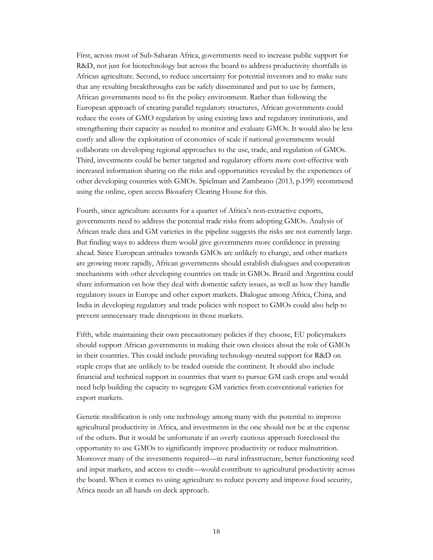First, across most of Sub-Saharan Africa, governments need to increase public support for R&D, not just for biotechnology but across the board to address productivity shortfalls in African agriculture. Second, to reduce uncertainty for potential investors and to make sure that any resulting breakthroughs can be safely disseminated and put to use by farmers, African governments need to fix the policy environment. Rather than following the European approach of creating parallel regulatory structures, African governments could reduce the costs of GMO regulation by using existing laws and regulatory institutions, and strengthening their capacity as needed to monitor and evaluate GMOs. It would also be less costly and allow the exploitation of economies of scale if national governments would collaborate on developing regional approaches to the use, trade, and regulation of GMOs. Third, investments could be better targeted and regulatory efforts more cost-effective with increased information sharing on the risks and opportunities revealed by the experiences of other developing countries with GMOs. Spielman and Zambrano (2013, p.199) recommend using the online, open access Biosafety Clearing House for this.

Fourth, since agriculture accounts for a quarter of Africa's non-extractive exports, governments need to address the potential trade risks from adopting GMOs. Analysis of African trade data and GM varieties in the pipeline suggests the risks are not currently large. But finding ways to address them would give governments more confidence in pressing ahead. Since European attitudes towards GMOs are unlikely to change, and other markets are growing more rapidly, African governments should establish dialogues and cooperation mechanisms with other developing countries on trade in GMOs. Brazil and Argentina could share information on how they deal with domestic safety issues, as well as how they handle regulatory issues in Europe and other export markets. Dialogue among Africa, China, and India in developing regulatory and trade policies with respect to GMOs could also help to prevent unnecessary trade disruptions in those markets.

Fifth, while maintaining their own precautionary policies if they choose, EU policymakers should support African governments in making their own choices about the role of GMOs in their countries. This could include providing technology-neutral support for R&D on staple crops that are unlikely to be traded outside the continent. It should also include financial and technical support in countries that want to pursue GM cash crops and would need help building the capacity to segregate GM varieties from conventional varieties for export markets.

Genetic modification is only one technology among many with the potential to improve agricultural productivity in Africa, and investments in the one should not be at the expense of the others. But it would be unfortunate if an overly cautious approach foreclosed the opportunity to use GMOs to significantly improve productivity or reduce malnutrition. Moreover many of the investments required—in rural infrastructure, better functioning seed and input markets, and access to credit—would contribute to agricultural productivity across the board. When it comes to using agriculture to reduce poverty and improve food security, Africa needs an all hands on deck approach.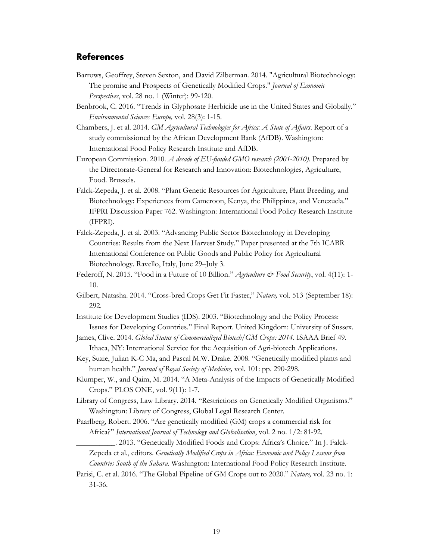## <span id="page-20-0"></span>**References**

- Barrows, Geoffrey, Steven Sexton, and David Zilberman. 2014. "Agricultural Biotechnology: The promise and Prospects of Genetically Modified Crops." *Journal of Economic Perspectives*, vol. 28 no. 1 (Winter): 99-120.
- Benbrook, C. 2016. "Trends in Glyphosate Herbicide use in the United States and Globally." *Environmental Sciences Europe,* vol. 28(3): 1-15.
- Chambers, J. et al. 2014. *GM Agricultural Technologies for Africa: A State of Affairs*. Report of a study commissioned by the African Development Bank (AfDB). Washington: International Food Policy Research Institute and AfDB.
- European Commission. 2010. *A decade of EU-funded GMO research (2001-2010).* Prepared by the Directorate-General for Research and Innovation: Biotechnologies, Agriculture, Food. Brussels.
- Falck-Zepeda, J. et al. 2008. "Plant Genetic Resources for Agriculture, Plant Breeding, and Biotechnology: Experiences from Cameroon, Kenya, the Philippines, and Venezuela*.*" IFPRI Discussion Paper 762. Washington: International Food Policy Research Institute (IFPRI).
- Falck-Zepeda, J. et al. 2003. "Advancing Public Sector Biotechnology in Developing Countries: Results from the Next Harvest Study." Paper presented at the 7th ICABR International Conference on Public Goods and Public Policy for Agricultural Biotechnology. Ravello, Italy, June 29–July 3.
- Federoff, N. 2015. "Food in a Future of 10 Billion." *Agriculture & Food Security*, vol. 4(11): 1-10.
- Gilbert, Natasha. 2014. "Cross-bred Crops Get Fit Faster," *Nature,* vol. 513 (September 18): 292.
- Institute for Development Studies (IDS). 2003. "Biotechnology and the Policy Process: Issues for Developing Countries." Final Report. United Kingdom: University of Sussex.
- James, Clive. 2014. *Global Status of Commercialized Biotech/GM Crops: 2014*. ISAAA Brief 49. Ithaca, NY: International Service for the Acquisition of Agri-biotech Applications.
- Key, Suzie, Julian K-C Ma, and Pascal M.W. Drake. 2008. "Genetically modified plants and human health." *Journal of Royal Society of Medicine,* vol. 101: pp. 290-298.
- Klumper, W., and Qaim, M. 2014. "A Meta-Analysis of the Impacts of Genetically Modified Crops." PLOS ONE, vol. 9(11): 1-7.
- Library of Congress, Law Library. 2014. "Restrictions on Genetically Modified Organisms." Washington: Library of Congress, Global Legal Research Center.
- Paarlberg, Robert. 2006. "Are genetically modified (GM) crops a commercial risk for Africa?" *International Journal of Technology and Globalisation*, vol. 2 no. 1/2: 81-92.
	- \_\_\_\_\_\_\_\_\_\_. 2013. "Genetically Modified Foods and Crops: Africa's Choice." In J. Falck-Zepeda et al., editors. *Genetically Modified Crops in Africa: Economic and Policy Lessons from Countries South of the Sahara*. Washington: International Food Policy Research Institute.
- Parisi, C. et al. 2016. "The Global Pipeline of GM Crops out to 2020." *Nature,* vol. 23 no. 1: 31-36.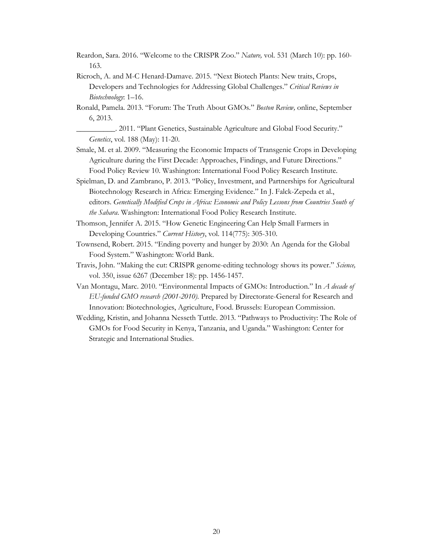- Reardon, Sara. 2016. "Welcome to the CRISPR Zoo." *Nature,* vol. 531 (March 10): pp. 160- 163.
- Ricroch, A. and M-C Henard-Damave. 2015. "Next Biotech Plants: New traits, Crops, Developers and Technologies for Addressing Global Challenges." *Critical Reviews in Biotechnology*: 1–16.
- Ronald, Pamela. 2013. "Forum: The Truth About GMOs." *Boston Review,* online, September 6, 2013.
- \_\_\_\_\_\_\_\_\_\_. 2011. "Plant Genetics, Sustainable Agriculture and Global Food Security." *Genetics*, vol. 188 (May): 11-20.
- Smale, M. et al. 2009. "Measuring the Economic Impacts of Transgenic Crops in Developing Agriculture during the First Decade: Approaches, Findings, and Future Directions." Food Policy Review 10. Washington: International Food Policy Research Institute.
- Spielman, D. and Zambrano, P. 2013. "Policy, Investment, and Partnerships for Agricultural Biotechnology Research in Africa: Emerging Evidence." In J. Falck-Zepeda et al., editors. *Genetically Modified Crops in Africa: Economic and Policy Lessons from Countries South of the Sahara*. Washington: International Food Policy Research Institute.
- Thomson, Jennifer A. 2015. "How Genetic Engineering Can Help Small Farmers in Developing Countries." *Current History*, vol. 114(775): 305-310.
- Townsend, Robert. 2015. "Ending poverty and hunger by 2030: An Agenda for the Global Food System." Washington: World Bank.
- Travis, John. "Making the cut: CRISPR genome-editing technology shows its power." *Science,* vol. 350, issue 6267 (December 18): pp. 1456-1457.
- Van Montagu, Marc. 2010. "Environmental Impacts of GMOs: Introduction." In *A decade of EU-funded GMO research (2001-2010).* Prepared by Directorate-General for Research and Innovation: Biotechnologies, Agriculture, Food. Brussels: European Commission.
- Wedding, Kristin, and Johanna Nesseth Tuttle. 2013. "Pathways to Productivity: The Role of GMOs for Food Security in Kenya, Tanzania, and Uganda." Washington: Center for Strategic and International Studies.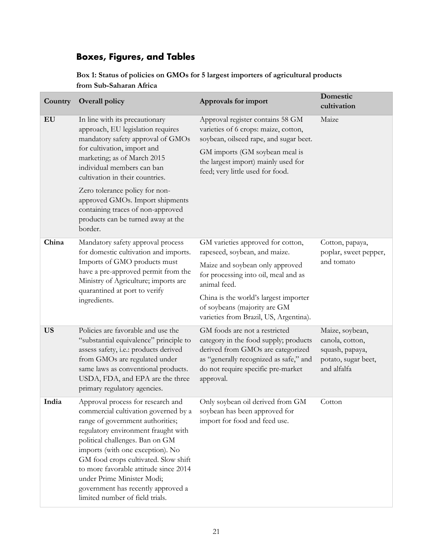## <span id="page-22-0"></span>**Boxes, Figures, and Tables**

## **Box 1: Status of policies on GMOs for 5 largest importers of agricultural products from Sub-Saharan Africa**

| Country   | <b>Overall policy</b>                                                                                                                                                                                                                                                                                                                                                                                               | Approvals for import                                                                                                                                                                                     | Domestic<br>cultivation                                                                     |  |
|-----------|---------------------------------------------------------------------------------------------------------------------------------------------------------------------------------------------------------------------------------------------------------------------------------------------------------------------------------------------------------------------------------------------------------------------|----------------------------------------------------------------------------------------------------------------------------------------------------------------------------------------------------------|---------------------------------------------------------------------------------------------|--|
| EU        | In line with its precautionary<br>approach, EU legislation requires<br>mandatory safety approval of GMOs<br>for cultivation, import and<br>marketing; as of March 2015<br>individual members can ban<br>cultivation in their countries.                                                                                                                                                                             | Approval register contains 58 GM<br>varieties of 6 crops: maize, cotton,<br>soybean, oilseed rape, and sugar beet.                                                                                       | Maize                                                                                       |  |
|           |                                                                                                                                                                                                                                                                                                                                                                                                                     | GM imports (GM soybean meal is<br>the largest import) mainly used for<br>feed; very little used for food.                                                                                                |                                                                                             |  |
|           | Zero tolerance policy for non-<br>approved GMOs. Import shipments<br>containing traces of non-approved<br>products can be turned away at the<br>border.                                                                                                                                                                                                                                                             |                                                                                                                                                                                                          |                                                                                             |  |
| China     | Mandatory safety approval process<br>for domestic cultivation and imports.                                                                                                                                                                                                                                                                                                                                          | GM varieties approved for cotton,<br>rapeseed, soybean, and maize.                                                                                                                                       | Cotton, papaya,<br>poplar, sweet pepper,                                                    |  |
|           | Imports of GMO products must<br>have a pre-approved permit from the<br>Ministry of Agriculture; imports are<br>quarantined at port to verify<br>ingredients.                                                                                                                                                                                                                                                        | Maize and soybean only approved<br>for processing into oil, meal and as<br>animal feed.                                                                                                                  | and tomato                                                                                  |  |
|           |                                                                                                                                                                                                                                                                                                                                                                                                                     | China is the world's largest importer<br>of soybeans (majority are GM<br>varieties from Brazil, US, Argentina).                                                                                          |                                                                                             |  |
| <b>US</b> | Policies are favorable and use the<br>"substantial equivalence" principle to<br>assess safety, i.e.: products derived<br>from GMOs are regulated under<br>same laws as conventional products.<br>USDA, FDA, and EPA are the three<br>primary regulatory agencies.                                                                                                                                                   | GM foods are not a restricted<br>category in the food supply; products<br>derived from GMOs are categorized<br>as "generally recognized as safe," and<br>do not require specific pre-market<br>approval. | Maize, soybean,<br>canola, cotton,<br>squash, papaya,<br>potato, sugar beet,<br>and alfalfa |  |
| India     | Approval process for research and<br>commercial cultivation governed by a<br>range of government authorities;<br>regulatory environment fraught with<br>political challenges. Ban on GM<br>imports (with one exception). No<br>GM food crops cultivated. Slow shift<br>to more favorable attitude since 2014<br>under Prime Minister Modi;<br>government has recently approved a<br>limited number of field trials. | Only soybean oil derived from GM<br>soybean has been approved for<br>import for food and feed use.                                                                                                       | Cotton                                                                                      |  |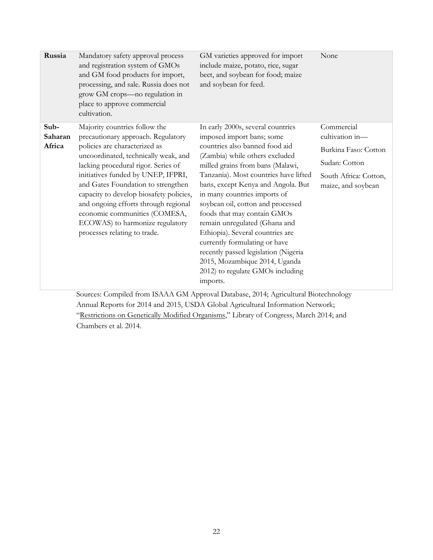| Russia                    | Mandatory safety approval process<br>and registration system of GMOs<br>and GM food products for import,<br>processing, and sale. Russia does not<br>grow GM crops-no regulation in<br>place to approve commercial<br>cultivation.                                                                                                                                                                                                                     | GM varieties approved for import<br>include maize, potato, rice, sugar<br>beet, and soybean for food; maize<br>and soybean for feed.                                                                                                                                                                                                                                                                                                                                                                                                                                                     | None                                                                                                                  |
|---------------------------|--------------------------------------------------------------------------------------------------------------------------------------------------------------------------------------------------------------------------------------------------------------------------------------------------------------------------------------------------------------------------------------------------------------------------------------------------------|------------------------------------------------------------------------------------------------------------------------------------------------------------------------------------------------------------------------------------------------------------------------------------------------------------------------------------------------------------------------------------------------------------------------------------------------------------------------------------------------------------------------------------------------------------------------------------------|-----------------------------------------------------------------------------------------------------------------------|
| Sub-<br>Saharan<br>Africa | Majority countries follow the<br>precautionary approach. Regulatory<br>policies are characterized as<br>uncoordinated, technically weak, and<br>lacking procedural rigor. Series of<br>initiatives funded by UNEP, IFPRI,<br>and Gates Foundation to strengthen<br>capacity to develop biosafety policies,<br>and ongoing efforts through regional<br>economic communities (COMESA,<br>ECOWAS) to harmonize regulatory<br>processes relating to trade. | In early 2000s, several countries<br>imposed import bans; some<br>countries also banned food aid<br>(Zambia) while others excluded<br>milled grains from bans (Malawi,<br>Tanzania). Most countries have lifted<br>bans, except Kenya and Angola. But<br>in many countries imports of<br>soybean oil, cotton and processed<br>foods that may contain GMOs<br>remain unregulated (Ghana and<br>Ethiopia). Several countries are<br>currently formulating or have<br>recently passed legislation (Nigeria<br>2015, Mozambique 2014, Uganda<br>2012) to regulate GMOs including<br>imports. | Commercial<br>cultivation in-<br>Burkina Faso: Cotton<br>Sudan: Cotton<br>South Africa: Cotton,<br>maize, and soybean |

Sources: Compiled from ISAAA GM Approval Database, 2014; Agricultural Biotechnology Annual Reports for 2014 and 2015, USDA Global Agricultural Information Network; ["Restrictions on Genetically Modified Organisms,](http://www.loc.gov/law/help/restrictions-on-gmos/restrictions-on-gmos.pdf)" Library of Congress, March 2014; and Chambers et al. 2014.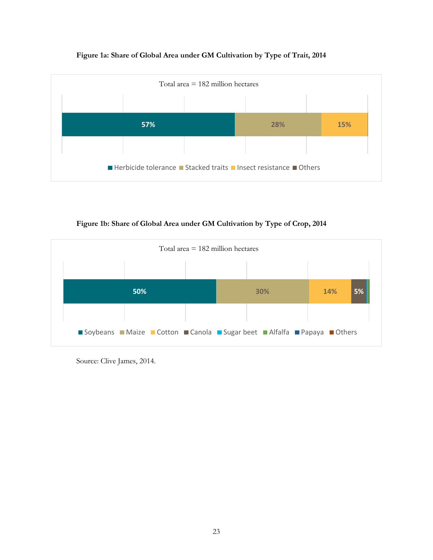### **Figure 1a: Share of Global Area under GM Cultivation by Type of Trait, 2014**



**Figure 1b: Share of Global Area under GM Cultivation by Type of Crop, 2014**



Source: Clive James, 2014.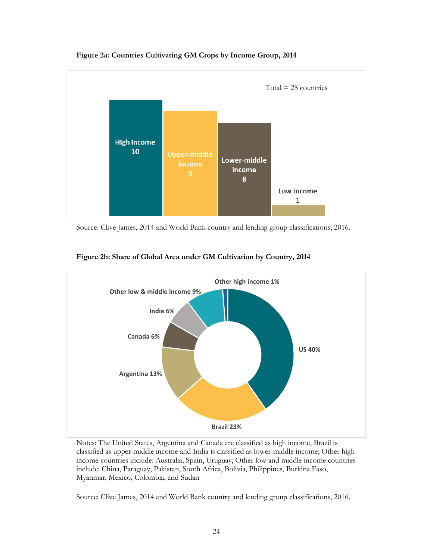

**Figure 2a: Countries Cultivating GM Crops by Income Group, 2014**

Source: Clive James, 2014 and World Bank country and lending group classifications, 2016.



**Figure 2b: Share of Global Area under GM Cultivation by Country, 2014**

Notes: The United States, Argentina and Canada are classified as high income, Brazil is classified as upper-middle income and India is classified as lower-middle income; Other high income countries include: Australia, Spain, Uruguay; Other low and middle income countries include: China, Paraguay, Pakistan, South Africa, Bolivia, Philippines, Burkina Faso, Myanmar, Mexico, Colombia, and Sudan

Source: Clive James, 2014 and World Bank country and lending group classifications, 2016.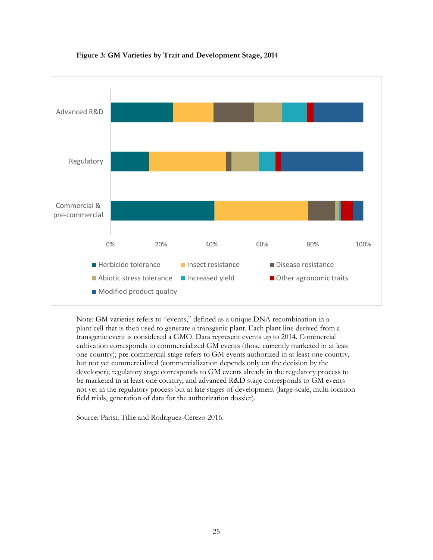

#### **Figure 3: GM Varieties by Trait and Development Stage, 2014**

Note: GM varieties refers to "events," defined as a unique DNA recombination in a plant cell that is then used to generate a transgenic plant. Each plant line derived from a transgenic event is considered a GMO. Data represent events up to 2014. Commercial cultivation corresponds to commercialized GM events (those currently marketed in at least one country); pre-commercial stage refers to GM events authorized in at least one country, but not yet commercialized (commercialization depends only on the decision by the developer); regulatory stage corresponds to GM events already in the regulatory process to be marketed in at least one country; and advanced R&D stage corresponds to GM events not yet in the regulatory process but at late stages of development (large-scale, multi-location field trials, generation of data for the authorization dossier).

Source: Parisi, Tillie and Rodriguez-Cerezo 2016.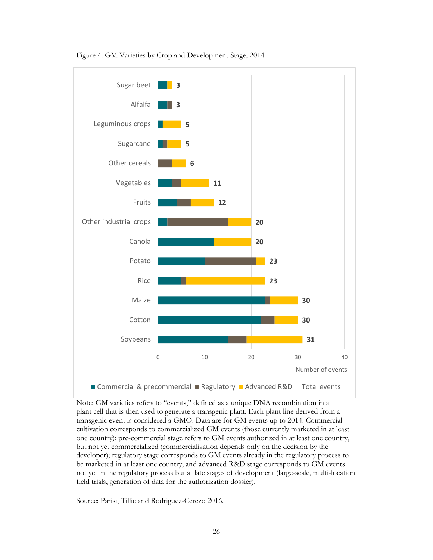

Figure 4: GM Varieties by Crop and Development Stage, 2014

Note: GM varieties refers to "events," defined as a unique DNA recombination in a plant cell that is then used to generate a transgenic plant. Each plant line derived from a transgenic event is considered a GMO. Data are for GM events up to 2014. Commercial cultivation corresponds to commercialized GM events (those currently marketed in at least one country); pre-commercial stage refers to GM events authorized in at least one country, but not yet commercialized (commercialization depends only on the decision by the developer); regulatory stage corresponds to GM events already in the regulatory process to be marketed in at least one country; and advanced R&D stage corresponds to GM events not yet in the regulatory process but at late stages of development (large-scale, multi-location field trials, generation of data for the authorization dossier).

Source: Parisi, Tillie and Rodriguez-Cerezo 2016.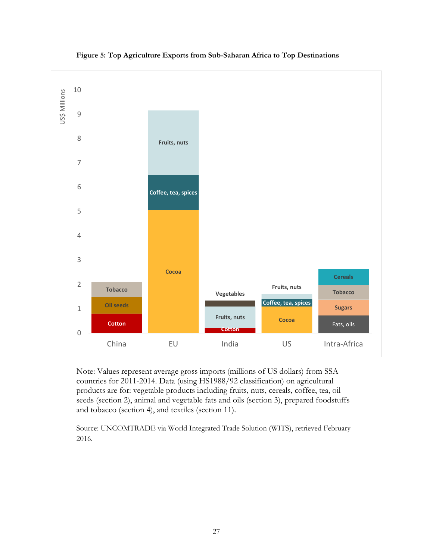



Note: Values represent average gross imports (millions of US dollars) from SSA countries for 2011-2014. Data (using HS1988/92 classification) on agricultural products are for: vegetable products including fruits, nuts, cereals, coffee, tea, oil seeds (section 2), animal and vegetable fats and oils (section 3), prepared foodstuffs and tobacco (section 4), and textiles (section 11).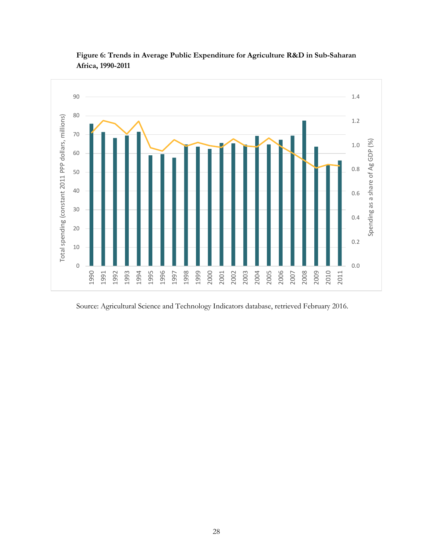

**Figure 6: Trends in Average Public Expenditure for Agriculture R&D in Sub-Saharan Africa, 1990-2011**

Source: Agricultural Science and Technology Indicators database, retrieved February 2016.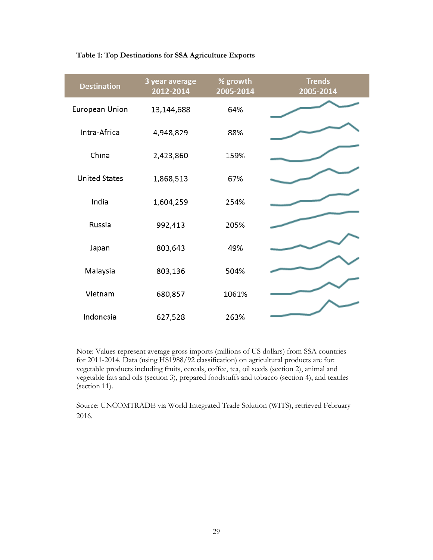#### **Table 1: Top Destinations for SSA Agriculture Exports**

| <b>Destination</b>   | 3 year average<br>2012-2014 | % growth<br>2005-2014 | <b>Trends</b><br>2005-2014 |
|----------------------|-----------------------------|-----------------------|----------------------------|
| European Union       | 13,144,688                  | 64%                   |                            |
| Intra-Africa         | 4,948,829                   | 88%                   |                            |
| China                | 2,423,860                   | 159%                  |                            |
| <b>United States</b> | 1,868,513                   | 67%                   |                            |
| India                | 1,604,259                   | 254%                  |                            |
| Russia               | 992,413                     | 205%                  |                            |
| Japan                | 803,643                     | 49%                   |                            |
| Malaysia             | 803,136                     | 504%                  |                            |
| Vietnam              | 680,857                     | 1061%                 |                            |
| Indonesia            | 627,528                     | 263%                  |                            |

Note: Values represent average gross imports (millions of US dollars) from SSA countries for 2011-2014. Data (using HS1988/92 classification) on agricultural products are for: vegetable products including fruits, cereals, coffee, tea, oil seeds (section 2), animal and vegetable fats and oils (section 3), prepared foodstuffs and tobacco (section 4), and textiles (section 11).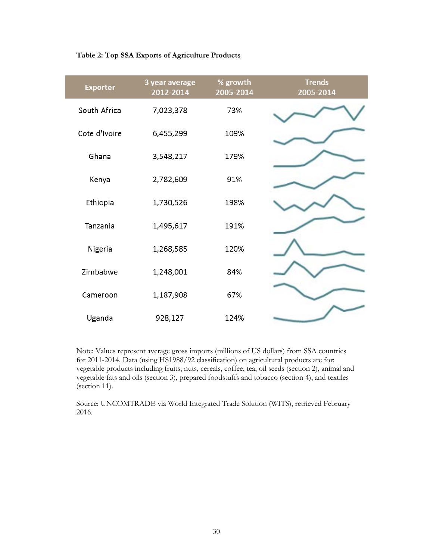#### **Table 2: Top SSA Exports of Agriculture Products**

| <b>Exporter</b> | 3 year average<br>2012-2014 | % growth<br>2005-2014 | <b>Trends</b><br>2005-2014 |
|-----------------|-----------------------------|-----------------------|----------------------------|
| South Africa    | 7,023,378                   | 73%                   |                            |
| Cote d'Ivoire   | 6,455,299                   | 109%                  |                            |
| Ghana           | 3,548,217                   | 179%                  |                            |
| Kenya           | 2,782,609                   | 91%                   |                            |
| Ethiopia        | 1,730,526                   | 198%                  |                            |
| Tanzania        | 1,495,617                   | 191%                  |                            |
| Nigeria         | 1,268,585                   | 120%                  |                            |
| Zimbabwe        | 1,248,001                   | 84%                   |                            |
| Cameroon        | 1,187,908                   | 67%                   |                            |
| Uganda          | 928,127                     | 124%                  |                            |

Note: Values represent average gross imports (millions of US dollars) from SSA countries for 2011-2014. Data (using HS1988/92 classification) on agricultural products are for: vegetable products including fruits, nuts, cereals, coffee, tea, oil seeds (section 2), animal and vegetable fats and oils (section 3), prepared foodstuffs and tobacco (section 4), and textiles (section 11).